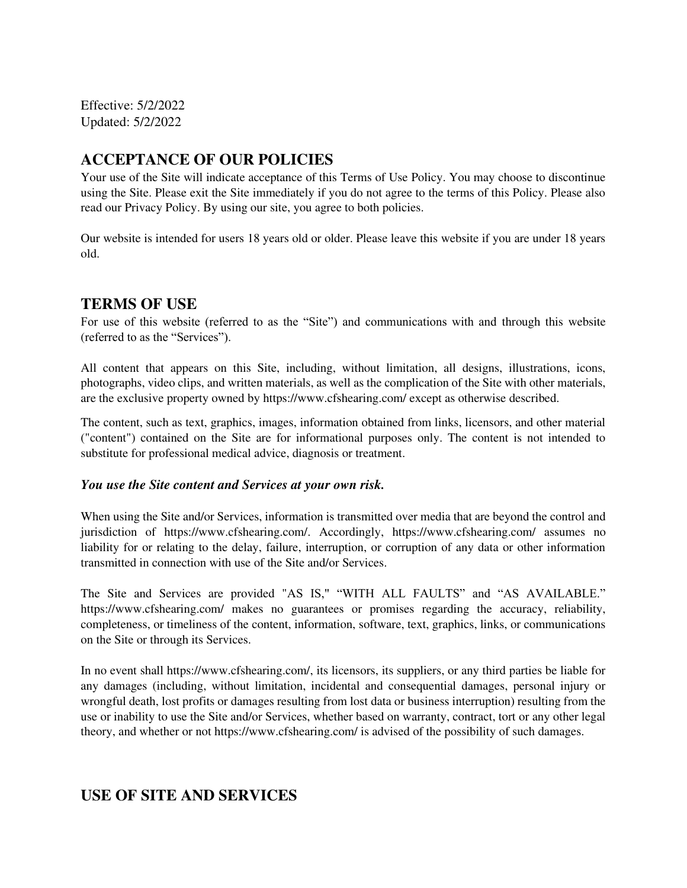Effective: 5/2/2022 Updated: 5/2/2022

# **ACCEPTANCE OF OUR POLICIES**

Your use of the Site will indicate acceptance of this Terms of Use Policy. You may choose to discontinue using the Site. Please exit the Site immediately if you do not agree to the terms of this Policy. Please also read our Privacy Policy. By using our site, you agree to both policies.

Our website is intended for users 18 years old or older. Please leave this website if you are under 18 years old.

### **TERMS OF USE**

For use of this website (referred to as the "Site") and communications with and through this website (referred to as the "Services").

All content that appears on this Site, including, without limitation, all designs, illustrations, icons, photographs, video clips, and written materials, as well as the complication of the Site with other materials, are the exclusive property owned by https://www.cfshearing.com/ except as otherwise described.

The content, such as text, graphics, images, information obtained from links, licensors, and other material ("content") contained on the Site are for informational purposes only. The content is not intended to substitute for professional medical advice, diagnosis or treatment.

#### *You use the Site content and Services at your own risk.*

When using the Site and/or Services, information is transmitted over media that are beyond the control and jurisdiction of https://www.cfshearing.com/. Accordingly, https://www.cfshearing.com/ assumes no liability for or relating to the delay, failure, interruption, or corruption of any data or other information transmitted in connection with use of the Site and/or Services.

The Site and Services are provided "AS IS," "WITH ALL FAULTS" and "AS AVAILABLE." https://www.cfshearing.com/ makes no guarantees or promises regarding the accuracy, reliability, completeness, or timeliness of the content, information, software, text, graphics, links, or communications on the Site or through its Services.

In no event shall https://www.cfshearing.com/, its licensors, its suppliers, or any third parties be liable for any damages (including, without limitation, incidental and consequential damages, personal injury or wrongful death, lost profits or damages resulting from lost data or business interruption) resulting from the use or inability to use the Site and/or Services, whether based on warranty, contract, tort or any other legal theory, and whether or not https://www.cfshearing.com/ is advised of the possibility of such damages.

# **USE OF SITE AND SERVICES**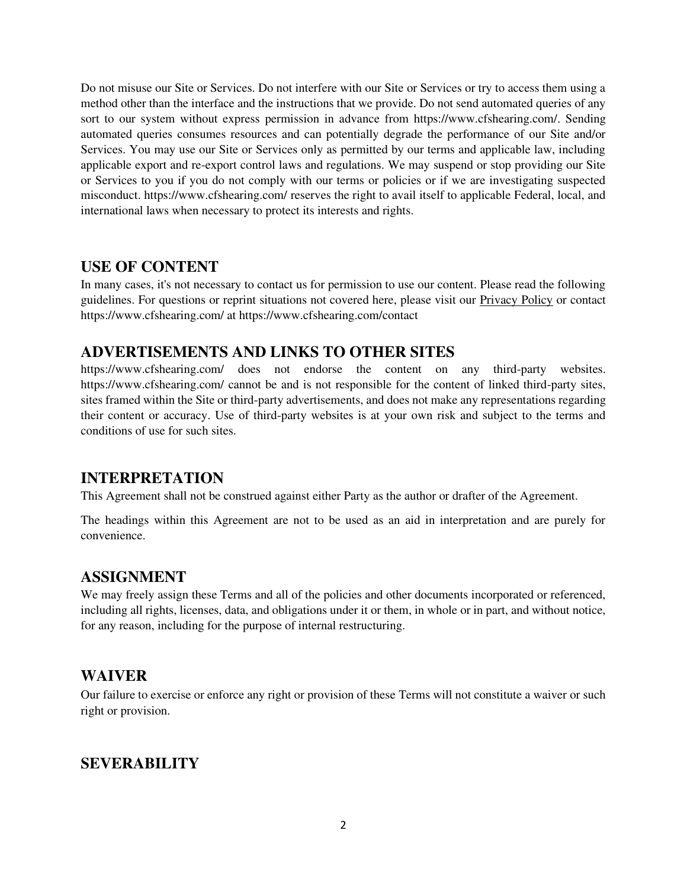Do not misuse our Site or Services. Do not interfere with our Site or Services or try to access them using a method other than the interface and the instructions that we provide. Do not send automated queries of any sort to our system without express permission in advance from https://www.cfshearing.com/. Sending automated queries consumes resources and can potentially degrade the performance of our Site and/or Services. You may use our Site or Services only as permitted by our terms and applicable law, including applicable export and re-export control laws and regulations. We may suspend or stop providing our Site or Services to you if you do not comply with our terms or policies or if we are investigating suspected misconduct. https://www.cfshearing.com/ reserves the right to avail itself to applicable Federal, local, and international laws when necessary to protect its interests and rights.

#### **USE OF CONTENT**

In many cases, it's not necessary to contact us for permission to use our content. Please read the following guidelines. For questions or reprint situations not covered here, please visit our Privacy Policy or contact https://www.cfshearing.com/ at https://www.cfshearing.com/contact

### **ADVERTISEMENTS AND LINKS TO OTHER SITES**

https://www.cfshearing.com/ does not endorse the content on any third-party websites. https://www.cfshearing.com/ cannot be and is not responsible for the content of linked third-party sites, sites framed within the Site or third-party advertisements, and does not make any representations regarding their content or accuracy. Use of third-party websites is at your own risk and subject to the terms and conditions of use for such sites.

### **INTERPRETATION**

This Agreement shall not be construed against either Party as the author or drafter of the Agreement.

The headings within this Agreement are not to be used as an aid in interpretation and are purely for convenience.

#### **ASSIGNMENT**

We may freely assign these Terms and all of the policies and other documents incorporated or referenced, including all rights, licenses, data, and obligations under it or them, in whole or in part, and without notice, for any reason, including for the purpose of internal restructuring.

#### **WAIVER**

Our failure to exercise or enforce any right or provision of these Terms will not constitute a waiver or such right or provision.

### **SEVERABILITY**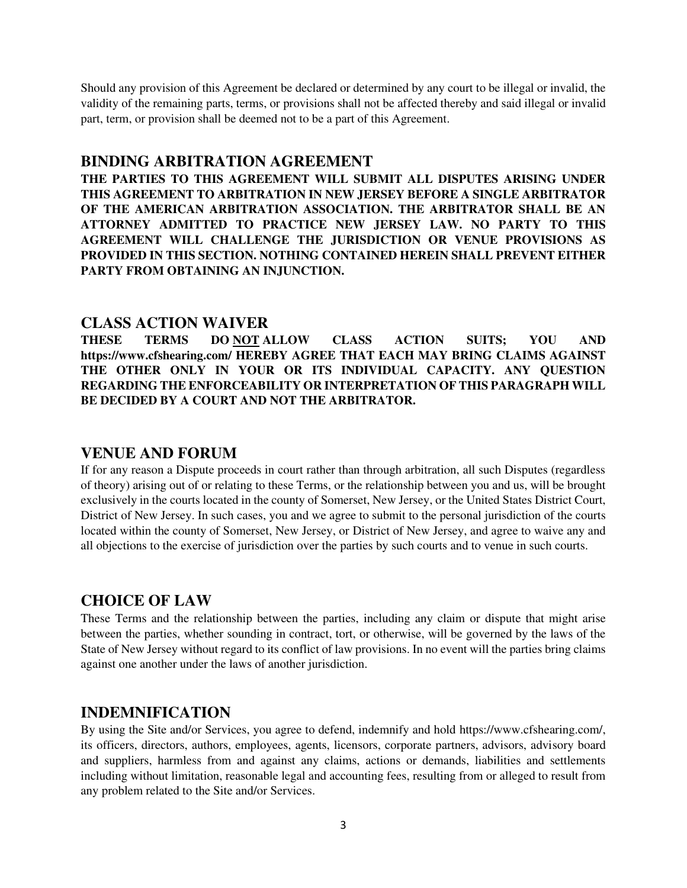Should any provision of this Agreement be declared or determined by any court to be illegal or invalid, the validity of the remaining parts, terms, or provisions shall not be affected thereby and said illegal or invalid part, term, or provision shall be deemed not to be a part of this Agreement.

### **BINDING ARBITRATION AGREEMENT**

**THE PARTIES TO THIS AGREEMENT WILL SUBMIT ALL DISPUTES ARISING UNDER THIS AGREEMENT TO ARBITRATION IN NEW JERSEY BEFORE A SINGLE ARBITRATOR OF THE AMERICAN ARBITRATION ASSOCIATION. THE ARBITRATOR SHALL BE AN ATTORNEY ADMITTED TO PRACTICE NEW JERSEY LAW. NO PARTY TO THIS AGREEMENT WILL CHALLENGE THE JURISDICTION OR VENUE PROVISIONS AS PROVIDED IN THIS SECTION. NOTHING CONTAINED HEREIN SHALL PREVENT EITHER PARTY FROM OBTAINING AN INJUNCTION.** 

#### **CLASS ACTION WAIVER**

**THESE TERMS DO NOT ALLOW CLASS ACTION SUITS; YOU AND https://www.cfshearing.com/ HEREBY AGREE THAT EACH MAY BRING CLAIMS AGAINST THE OTHER ONLY IN YOUR OR ITS INDIVIDUAL CAPACITY. ANY QUESTION REGARDING THE ENFORCEABILITY OR INTERPRETATION OF THIS PARAGRAPH WILL BE DECIDED BY A COURT AND NOT THE ARBITRATOR.**

#### **VENUE AND FORUM**

If for any reason a Dispute proceeds in court rather than through arbitration, all such Disputes (regardless of theory) arising out of or relating to these Terms, or the relationship between you and us, will be brought exclusively in the courts located in the county of Somerset, New Jersey, or the United States District Court, District of New Jersey. In such cases, you and we agree to submit to the personal jurisdiction of the courts located within the county of Somerset, New Jersey, or District of New Jersey, and agree to waive any and all objections to the exercise of jurisdiction over the parties by such courts and to venue in such courts.

#### **CHOICE OF LAW**

These Terms and the relationship between the parties, including any claim or dispute that might arise between the parties, whether sounding in contract, tort, or otherwise, will be governed by the laws of the State of New Jersey without regard to its conflict of law provisions. In no event will the parties bring claims against one another under the laws of another jurisdiction.

### **INDEMNIFICATION**

By using the Site and/or Services, you agree to defend, indemnify and hold https://www.cfshearing.com/, its officers, directors, authors, employees, agents, licensors, corporate partners, advisors, advisory board and suppliers, harmless from and against any claims, actions or demands, liabilities and settlements including without limitation, reasonable legal and accounting fees, resulting from or alleged to result from any problem related to the Site and/or Services.